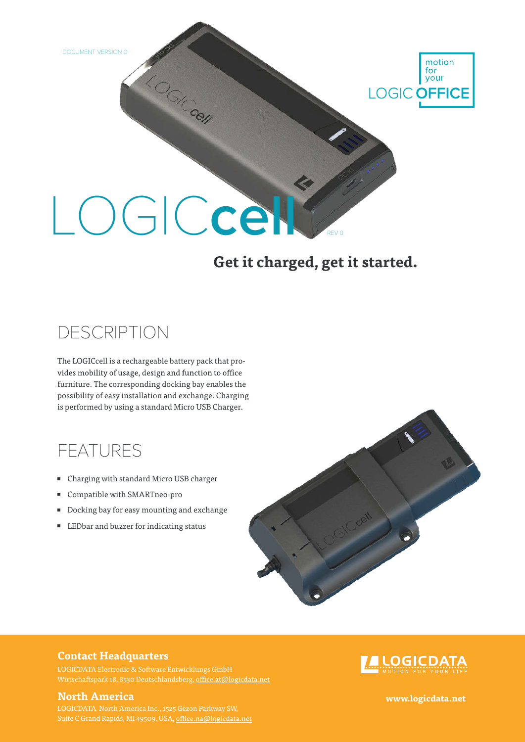DOCUMENT VERSION 0



# LOGIC**cell**

LO<sub>GICCON</sub>

#### **Get it charged, get it started.**

## DESCRIPTION

The LOGICcell is a rechargeable battery pack that provides mobility of usage, design and function to office furniture. The corresponding docking bay enables the possibility of easy installation and exchange. Charging is performed by using a standard Micro USB Charger.

## FEATURES

- Charging with standard Micro USB charger
- Compatible with SMARTneo-pro
- Docking bay for easy mounting and exchange
- LEDbar and buzzer for indicating status



#### **Contact Headquarters**

Wirtschaftspark 18, 8530 Deutschlandsberg, office.at@logicdata.net

#### **North America www.logicdata.net**

Suite C Grand Rapids, MI 49509, USA, office.na@logicdata.net